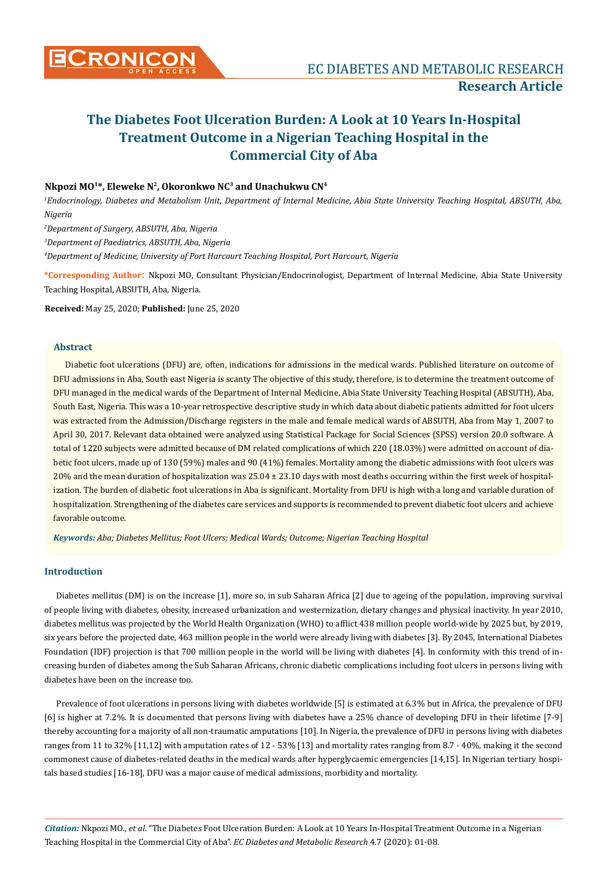

# **The Diabetes Foot Ulceration Burden: A Look at 10 Years In-Hospital Treatment Outcome in a Nigerian Teaching Hospital in the Commercial City of Aba**

# **Nkpozi MO1\*, Eleweke N2, Okoronkwo NC3 and Unachukwu CN4**

*1 Endocrinology, Diabetes and Metabolism Unit, Department of Internal Medicine, Abia State University Teaching Hospital, ABSUTH, Aba, Nigeria* 

*2 Department of Surgery, ABSUTH, Aba, Nigeria*

*3 Department of Paediatrics, ABSUTH, Aba, Nigeria*

*4 Department of Medicine, University of Port Harcourt Teaching Hospital, Port Harcourt, Nigeria*

**\*Corresponding Author**: Nkpozi MO, Consultant Physician/Endocrinologist, Department of Internal Medicine, Abia State University Teaching Hospital, ABSUTH, Aba, Nigeria.

**Received:** May 25, 2020; **Published:** June 25, 2020

# **Abstract**

Diabetic foot ulcerations (DFU) are, often, indications for admissions in the medical wards. Published literature on outcome of DFU admissions in Aba, South east Nigeria is scanty The objective of this study, therefore, is to determine the treatment outcome of DFU managed in the medical wards of the Department of Internal Medicine, Abia State University Teaching Hospital (ABSUTH), Aba, South East, Nigeria. This was a 10-year retrospective descriptive study in which data about diabetic patients admitted for foot ulcers was extracted from the Admission/Discharge registers in the male and female medical wards of ABSUTH, Aba from May 1, 2007 to April 30, 2017. Relevant data obtained were analyzed using Statistical Package for Social Sciences (SPSS) version 20.0 software. A total of 1220 subjects were admitted because of DM related complications of which 220 (18.03%) were admitted on account of diabetic foot ulcers, made up of 130 (59%) males and 90 (41%) females. Mortality among the diabetic admissions with foot ulcers was 20% and the mean duration of hospitalization was  $25.04 \pm 23.10$  days with most deaths occurring within the first week of hospitalization. The burden of diabetic foot ulcerations in Aba is significant. Mortality from DFU is high with a long and variable duration of hospitalization. Strengthening of the diabetes care services and supports is recommended to prevent diabetic foot ulcers and achieve favorable outcome.

*Keywords: Aba; Diabetes Mellitus; Foot Ulcers; Medical Wards; Outcome; Nigerian Teaching Hospital* 

# **Introduction**

Diabetes mellitus (DM) is on the increase [1], more so, in sub Saharan Africa [2] due to ageing of the population, improving survival of people living with diabetes, obesity, increased urbanization and westernization, dietary changes and physical inactivity. In year 2010, diabetes mellitus was projected by the World Health Organization (WHO) to afflict 438 million people world-wide by 2025 but, by 2019, six years before the projected date, 463 million people in the world were already living with diabetes [3]. By 2045, International Diabetes Foundation (IDF) projection is that 700 million people in the world will be living with diabetes [4]. In conformity with this trend of increasing burden of diabetes among the Sub Saharan Africans, chronic diabetic complications including foot ulcers in persons living with diabetes have been on the increase too.

Prevalence of foot ulcerations in persons living with diabetes worldwide [5] is estimated at 6.3% but in Africa, the prevalence of DFU [6] is higher at 7.2%. It is documented that persons living with diabetes have a 25% chance of developing DFU in their lifetime [7-9] thereby accounting for a majority of all non-traumatic amputations [10]. In Nigeria, the prevalence of DFU in persons living with diabetes ranges from 11 to 32% [11,12] with amputation rates of 12 - 53% [13] and mortality rates ranging from 8.7 - 40%, making it the second commonest cause of diabetes-related deaths in the medical wards after hyperglycaemic emergencies [14,15]. In Nigerian tertiary hospitals based studies [16-18], DFU was a major cause of medical admissions, morbidity and mortality.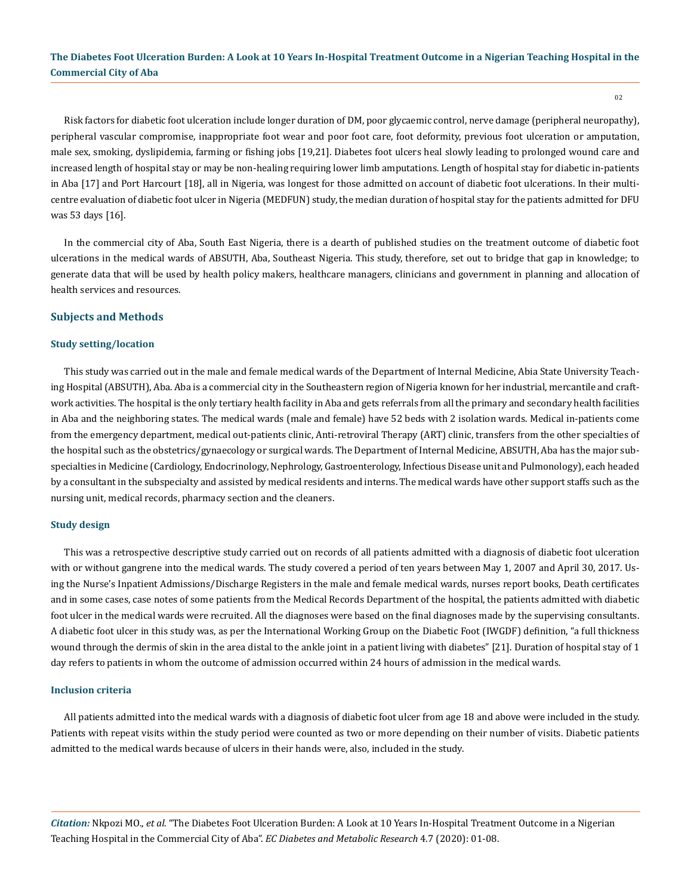Risk factors for diabetic foot ulceration include longer duration of DM, poor glycaemic control, nerve damage (peripheral neuropathy), peripheral vascular compromise, inappropriate foot wear and poor foot care, foot deformity, previous foot ulceration or amputation, male sex, smoking, dyslipidemia, farming or fishing jobs [19,21]. Diabetes foot ulcers heal slowly leading to prolonged wound care and increased length of hospital stay or may be non-healing requiring lower limb amputations. Length of hospital stay for diabetic in-patients in Aba [17] and Port Harcourt [18], all in Nigeria, was longest for those admitted on account of diabetic foot ulcerations. In their multicentre evaluation of diabetic foot ulcer in Nigeria (MEDFUN) study, the median duration of hospital stay for the patients admitted for DFU was 53 days [16].

In the commercial city of Aba, South East Nigeria, there is a dearth of published studies on the treatment outcome of diabetic foot ulcerations in the medical wards of ABSUTH, Aba, Southeast Nigeria. This study, therefore, set out to bridge that gap in knowledge; to generate data that will be used by health policy makers, healthcare managers, clinicians and government in planning and allocation of health services and resources.

#### **Subjects and Methods**

#### **Study setting/location**

This study was carried out in the male and female medical wards of the Department of Internal Medicine, Abia State University Teaching Hospital (ABSUTH), Aba. Aba is a commercial city in the Southeastern region of Nigeria known for her industrial, mercantile and craftwork activities. The hospital is the only tertiary health facility in Aba and gets referrals from all the primary and secondary health facilities in Aba and the neighboring states. The medical wards (male and female) have 52 beds with 2 isolation wards. Medical in-patients come from the emergency department, medical out-patients clinic, Anti-retroviral Therapy (ART) clinic, transfers from the other specialties of the hospital such as the obstetrics/gynaecology or surgical wards. The Department of Internal Medicine, ABSUTH, Aba has the major subspecialties in Medicine (Cardiology, Endocrinology, Nephrology, Gastroenterology, Infectious Disease unit and Pulmonology), each headed by a consultant in the subspecialty and assisted by medical residents and interns. The medical wards have other support staffs such as the nursing unit, medical records, pharmacy section and the cleaners.

#### **Study design**

This was a retrospective descriptive study carried out on records of all patients admitted with a diagnosis of diabetic foot ulceration with or without gangrene into the medical wards. The study covered a period of ten years between May 1, 2007 and April 30, 2017. Using the Nurse's Inpatient Admissions/Discharge Registers in the male and female medical wards, nurses report books, Death certificates and in some cases, case notes of some patients from the Medical Records Department of the hospital, the patients admitted with diabetic foot ulcer in the medical wards were recruited. All the diagnoses were based on the final diagnoses made by the supervising consultants. A diabetic foot ulcer in this study was, as per the International Working Group on the Diabetic Foot (IWGDF) definition, "a full thickness wound through the dermis of skin in the area distal to the ankle joint in a patient living with diabetes" [21]. Duration of hospital stay of 1 day refers to patients in whom the outcome of admission occurred within 24 hours of admission in the medical wards.

#### **Inclusion criteria**

All patients admitted into the medical wards with a diagnosis of diabetic foot ulcer from age 18 and above were included in the study. Patients with repeat visits within the study period were counted as two or more depending on their number of visits. Diabetic patients admitted to the medical wards because of ulcers in their hands were, also, included in the study.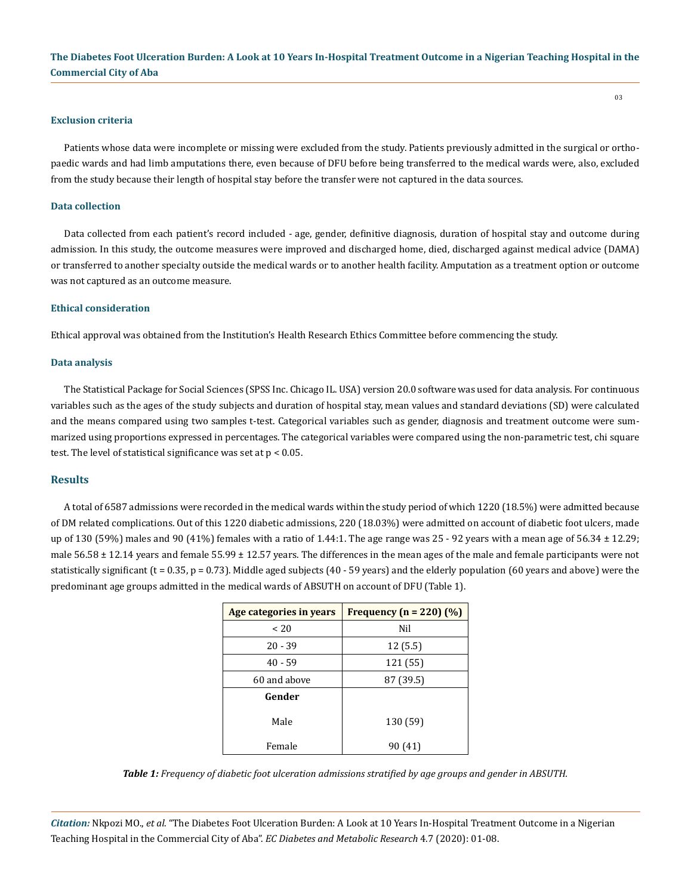#### **Exclusion criteria**

Patients whose data were incomplete or missing were excluded from the study. Patients previously admitted in the surgical or orthopaedic wards and had limb amputations there, even because of DFU before being transferred to the medical wards were, also, excluded from the study because their length of hospital stay before the transfer were not captured in the data sources.

## **Data collection**

Data collected from each patient's record included - age, gender, definitive diagnosis, duration of hospital stay and outcome during admission. In this study, the outcome measures were improved and discharged home, died, discharged against medical advice (DAMA) or transferred to another specialty outside the medical wards or to another health facility. Amputation as a treatment option or outcome was not captured as an outcome measure.

## **Ethical consideration**

Ethical approval was obtained from the Institution's Health Research Ethics Committee before commencing the study.

#### **Data analysis**

The Statistical Package for Social Sciences (SPSS Inc. Chicago IL. USA) version 20.0 software was used for data analysis. For continuous variables such as the ages of the study subjects and duration of hospital stay, mean values and standard deviations (SD) were calculated and the means compared using two samples t-test. Categorical variables such as gender, diagnosis and treatment outcome were summarized using proportions expressed in percentages. The categorical variables were compared using the non-parametric test, chi square test. The level of statistical significance was set at p < 0.05.

## **Results**

A total of 6587 admissions were recorded in the medical wards within the study period of which 1220 (18.5%) were admitted because of DM related complications. Out of this 1220 diabetic admissions, 220 (18.03%) were admitted on account of diabetic foot ulcers, made up of 130 (59%) males and 90 (41%) females with a ratio of 1.44:1. The age range was  $25 - 92$  years with a mean age of  $56.34 \pm 12.29$ ; male  $56.58 \pm 12.14$  years and female  $55.99 \pm 12.57$  years. The differences in the mean ages of the male and female participants were not statistically significant ( $t = 0.35$ ,  $p = 0.73$ ). Middle aged subjects (40 - 59 years) and the elderly population (60 years and above) were the predominant age groups admitted in the medical wards of ABSUTH on account of DFU (Table 1).

| Age categories in years | Frequency ( $n = 220$ ) (%) |
|-------------------------|-----------------------------|
| ~120                    | Nil                         |
| $20 - 39$               | 12(5.5)                     |
| $40 - 59$               | 121 (55)                    |
| 60 and above            | 87 (39.5)                   |
| Gender                  |                             |
| Male                    | 130 (59)                    |
| Female                  | 90 (41)                     |

*Table 1: Frequency of diabetic foot ulceration admissions stratified by age groups and gender in ABSUTH.*

*Citation:* Nkpozi MO., *et al*. "The Diabetes Foot Ulceration Burden: A Look at 10 Years In-Hospital Treatment Outcome in a Nigerian Teaching Hospital in the Commercial City of Aba". *EC Diabetes and Metabolic Research* 4.7 (2020): 01-08.

03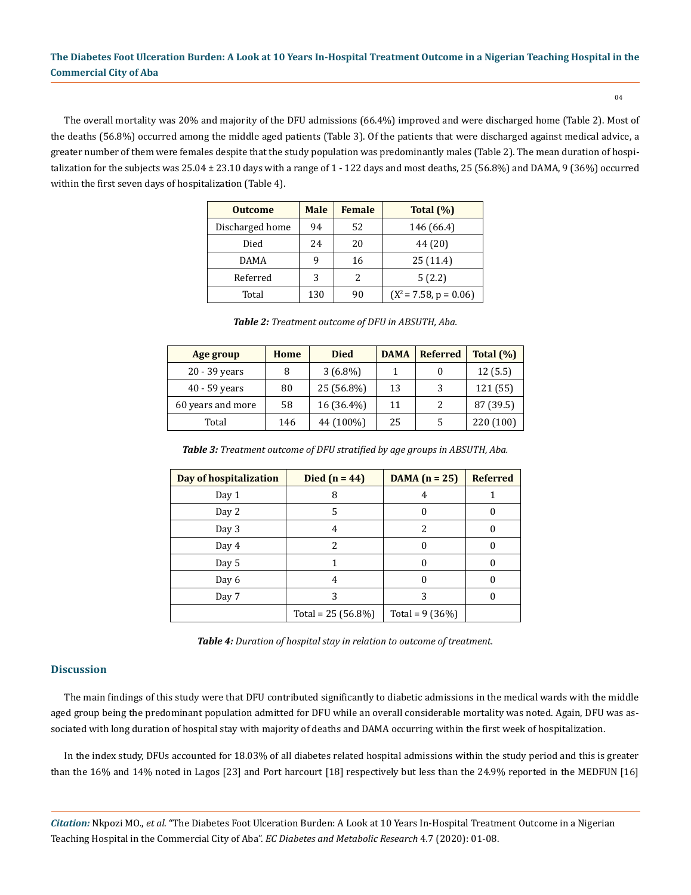The overall mortality was 20% and majority of the DFU admissions (66.4%) improved and were discharged home (Table 2). Most of the deaths (56.8%) occurred among the middle aged patients (Table 3). Of the patients that were discharged against medical advice, a greater number of them were females despite that the study population was predominantly males (Table 2). The mean duration of hospitalization for the subjects was 25.04 ± 23.10 days with a range of 1 - 122 days and most deaths, 25 (56.8%) and DAMA, 9 (36%) occurred within the first seven days of hospitalization (Table 4).

| <b>Outcome</b>  | <b>Male</b> | <b>Female</b> | Total $(\% )$            |
|-----------------|-------------|---------------|--------------------------|
| Discharged home | 94          | 52            | 146 (66.4)               |
| Died            | 24          | 20            | 44 (20)                  |
| <b>DAMA</b>     | q           | 16            | 25(11.4)                 |
| Referred        | 3           |               | 5(2.2)                   |
| Total           | 130         | 90            | $(X^2 = 7.58, p = 0.06)$ |

| Age group         | Home | <b>Died</b> | <b>DAMA</b> | <b>Referred</b> | Total $(\%)$ |
|-------------------|------|-------------|-------------|-----------------|--------------|
| 20 - 39 years     | 8    | $3(6.8\%)$  |             | 0               | 12(5.5)      |
| $40 - 59$ years   | 80   | 25 (56.8%)  | 13          | 3               | 121 (55)     |
| 60 years and more | 58   | 16 (36.4%)  | 11          | 2               | 87 (39.5)    |
| Total             | 146  | 44 (100%)   | 25          | 5               | 220 (100)    |

*Table 2: Treatment outcome of DFU in ABSUTH, Aba.*

*Table 3: Treatment outcome of DFU stratified by age groups in ABSUTH, Aba.*

| Day of hospitalization | Died $(n = 44)$      | DAMA $(n = 25)$  | <b>Referred</b> |
|------------------------|----------------------|------------------|-----------------|
| Day 1                  | 8                    | 4                |                 |
| Day 2                  | 5                    |                  |                 |
| Day 3                  | 4                    | 2                |                 |
| Day 4                  | 2                    |                  |                 |
| Day 5                  |                      |                  |                 |
| Day 6                  | 4                    |                  |                 |
| Day 7                  |                      | 3                |                 |
|                        | Total = $25(56.8\%)$ | Total = $9(36%)$ |                 |

*Table 4: Duration of hospital stay in relation to outcome of treatment.*

# **Discussion**

The main findings of this study were that DFU contributed significantly to diabetic admissions in the medical wards with the middle aged group being the predominant population admitted for DFU while an overall considerable mortality was noted. Again, DFU was associated with long duration of hospital stay with majority of deaths and DAMA occurring within the first week of hospitalization.

In the index study, DFUs accounted for 18.03% of all diabetes related hospital admissions within the study period and this is greater than the 16% and 14% noted in Lagos [23] and Port harcourt [18] respectively but less than the 24.9% reported in the MEDFUN [16]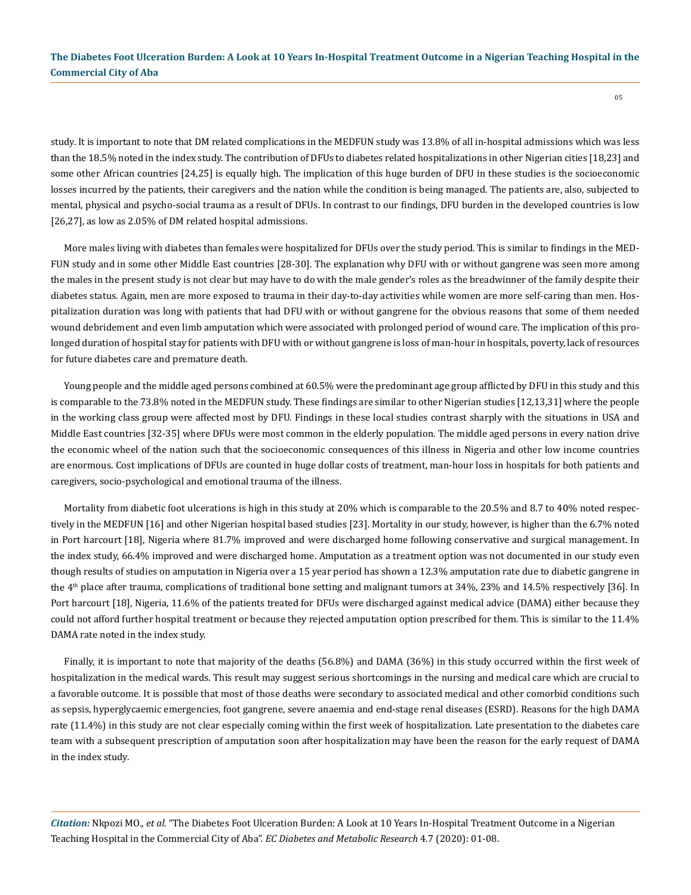study. It is important to note that DM related complications in the MEDFUN study was 13.8% of all in-hospital admissions which was less than the 18.5% noted in the index study. The contribution of DFUs to diabetes related hospitalizations in other Nigerian cities [18,23] and some other African countries [24,25] is equally high. The implication of this huge burden of DFU in these studies is the socioeconomic losses incurred by the patients, their caregivers and the nation while the condition is being managed. The patients are, also, subjected to mental, physical and psycho-social trauma as a result of DFUs. In contrast to our findings, DFU burden in the developed countries is low [26,27], as low as 2.05% of DM related hospital admissions.

More males living with diabetes than females were hospitalized for DFUs over the study period. This is similar to findings in the MED-FUN study and in some other Middle East countries [28-30]. The explanation why DFU with or without gangrene was seen more among the males in the present study is not clear but may have to do with the male gender's roles as the breadwinner of the family despite their diabetes status. Again, men are more exposed to trauma in their day-to-day activities while women are more self-caring than men. Hospitalization duration was long with patients that had DFU with or without gangrene for the obvious reasons that some of them needed wound debridement and even limb amputation which were associated with prolonged period of wound care. The implication of this prolonged duration of hospital stay for patients with DFU with or without gangrene is loss of man-hour in hospitals, poverty, lack of resources for future diabetes care and premature death.

Young people and the middle aged persons combined at 60.5% were the predominant age group afflicted by DFU in this study and this is comparable to the 73.8% noted in the MEDFUN study. These findings are similar to other Nigerian studies [12,13,31] where the people in the working class group were affected most by DFU. Findings in these local studies contrast sharply with the situations in USA and Middle East countries [32-35] where DFUs were most common in the elderly population. The middle aged persons in every nation drive the economic wheel of the nation such that the socioeconomic consequences of this illness in Nigeria and other low income countries are enormous. Cost implications of DFUs are counted in huge dollar costs of treatment, man-hour loss in hospitals for both patients and caregivers, socio-psychological and emotional trauma of the illness.

Mortality from diabetic foot ulcerations is high in this study at 20% which is comparable to the 20.5% and 8.7 to 40% noted respectively in the MEDFUN [16] and other Nigerian hospital based studies [23]. Mortality in our study, however, is higher than the 6.7% noted in Port harcourt [18], Nigeria where 81.7% improved and were discharged home following conservative and surgical management. In the index study, 66.4% improved and were discharged home. Amputation as a treatment option was not documented in our study even though results of studies on amputation in Nigeria over a 15 year period has shown a 12.3% amputation rate due to diabetic gangrene in the 4th place after trauma, complications of traditional bone setting and malignant tumors at 34%, 23% and 14.5% respectively [36]. In Port harcourt [18], Nigeria, 11.6% of the patients treated for DFUs were discharged against medical advice (DAMA) either because they could not afford further hospital treatment or because they rejected amputation option prescribed for them. This is similar to the 11.4% DAMA rate noted in the index study.

Finally, it is important to note that majority of the deaths (56.8%) and DAMA (36%) in this study occurred within the first week of hospitalization in the medical wards. This result may suggest serious shortcomings in the nursing and medical care which are crucial to a favorable outcome. It is possible that most of those deaths were secondary to associated medical and other comorbid conditions such as sepsis, hyperglycaemic emergencies, foot gangrene, severe anaemia and end-stage renal diseases (ESRD). Reasons for the high DAMA rate (11.4%) in this study are not clear especially coming within the first week of hospitalization. Late presentation to the diabetes care team with a subsequent prescription of amputation soon after hospitalization may have been the reason for the early request of DAMA in the index study.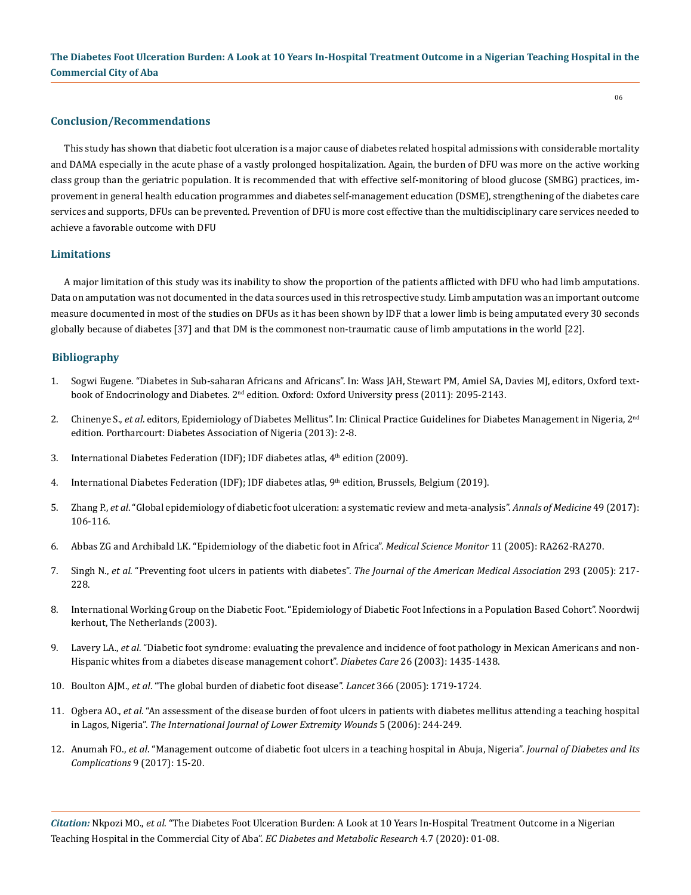**The Diabetes Foot Ulceration Burden: A Look at 10 Years In-Hospital Treatment Outcome in a Nigerian Teaching Hospital in the Commercial City of Aba**

#### **Conclusion/Recommendations**

This study has shown that diabetic foot ulceration is a major cause of diabetes related hospital admissions with considerable mortality and DAMA especially in the acute phase of a vastly prolonged hospitalization. Again, the burden of DFU was more on the active working class group than the geriatric population. It is recommended that with effective self-monitoring of blood glucose (SMBG) practices, improvement in general health education programmes and diabetes self-management education (DSME), strengthening of the diabetes care services and supports, DFUs can be prevented. Prevention of DFU is more cost effective than the multidisciplinary care services needed to achieve a favorable outcome with DFU

## **Limitations**

A major limitation of this study was its inability to show the proportion of the patients afflicted with DFU who had limb amputations. Data on amputation was not documented in the data sources used in this retrospective study. Limb amputation was an important outcome measure documented in most of the studies on DFUs as it has been shown by IDF that a lower limb is being amputated every 30 seconds globally because of diabetes [37] and that DM is the commonest non-traumatic cause of limb amputations in the world [22].

#### **Bibliography**

- 1. Sogwi Eugene. "Diabetes in Sub-saharan Africans and Africans". In: Wass JAH, Stewart PM, Amiel SA, Davies MJ, editors, Oxford textbook of Endocrinology and Diabetes. 2<sup>nd</sup> edition. Oxford: Oxford University press (2011): 2095-2143.
- 2. Chinenye S., *et al*. editors, Epidemiology of Diabetes Mellitus". In: Clinical Practice Guidelines for Diabetes Management in Nigeria, 2nd edition. Portharcourt: Diabetes Association of Nigeria (2013): 2-8.
- 3. International Diabetes Federation (IDF); IDF diabetes atlas, 4<sup>th</sup> edition (2009).
- 4. International Diabetes Federation (IDF); IDF diabetes atlas, 9<sup>th</sup> edition, Brussels, Belgium (2019).
- 5. Zhang P., *et al*[. "Global epidemiology of diabetic foot ulceration: a systematic review and meta-analysis".](https://pubmed.ncbi.nlm.nih.gov/27585063/) *Annals of Medicine* 49 (2017): [106-116.](https://pubmed.ncbi.nlm.nih.gov/27585063/)
- 6. [Abbas ZG and Archibald LK. "Epidemiology of the diabetic foot in Africa".](https://pubmed.ncbi.nlm.nih.gov/16049394/) *Medical Science Monitor* 11 (2005): RA262-RA270.
- 7. Singh N., *et al*. "Preventing foot ulcers in patients with diabetes". *[The Journal of the American Medical Association](https://jamanetwork.com/journals/jama/fullarticle/200119)* 293 (2005): 217- [228.](https://jamanetwork.com/journals/jama/fullarticle/200119)
- 8. International Working Group on the Diabetic Foot. "Epidemiology of Diabetic Foot Infections in a Population Based Cohort". Noordwij kerhout, The Netherlands (2003).
- 9. Lavery LA., *et al*[. "Diabetic foot syndrome: evaluating the prevalence and incidence of foot pathology in Mexican Americans and non-](https://www.researchgate.net/publication/10785585_Diabetic_Foot_Syndrome_Evaluating_the_prevalence_and_incidence_of_foot_pathology_in_Mexican_Americans_and_non-Hispanic_whites_from_a_diabetes_disease_management_cohort)[Hispanic whites from a diabetes disease management cohort".](https://www.researchgate.net/publication/10785585_Diabetic_Foot_Syndrome_Evaluating_the_prevalence_and_incidence_of_foot_pathology_in_Mexican_Americans_and_non-Hispanic_whites_from_a_diabetes_disease_management_cohort) *Diabetes Care* 26 (2003): 1435-1438.
- 10. Boulton AJM., *et al*[. "The global burden of diabetic foot disease".](https://pubmed.ncbi.nlm.nih.gov/16291066/) *Lancet* 366 (2005): 1719-1724.
- 11. Ogbera AO., *et al*[. "An assessment of the disease burden of foot ulcers in patients with diabetes mellitus attending a teaching hospital](https://pubmed.ncbi.nlm.nih.gov/17088600/)  in Lagos, Nigeria". *[The International Journal of Lower Extremity Wounds](https://pubmed.ncbi.nlm.nih.gov/17088600/)* 5 (2006): 244-249.
- 12. Anumah FO., *et al*[. "Management outcome of diabetic foot ulcers in a teaching hospital in Abuja, Nigeria".](https://jdfc.org/2017/v9i1a3/) *Journal of Diabetes and Its [Complications](https://jdfc.org/2017/v9i1a3/)* 9 (2017): 15-20.

*Citation:* Nkpozi MO., *et al*. "The Diabetes Foot Ulceration Burden: A Look at 10 Years In-Hospital Treatment Outcome in a Nigerian Teaching Hospital in the Commercial City of Aba". *EC Diabetes and Metabolic Research* 4.7 (2020): 01-08.

06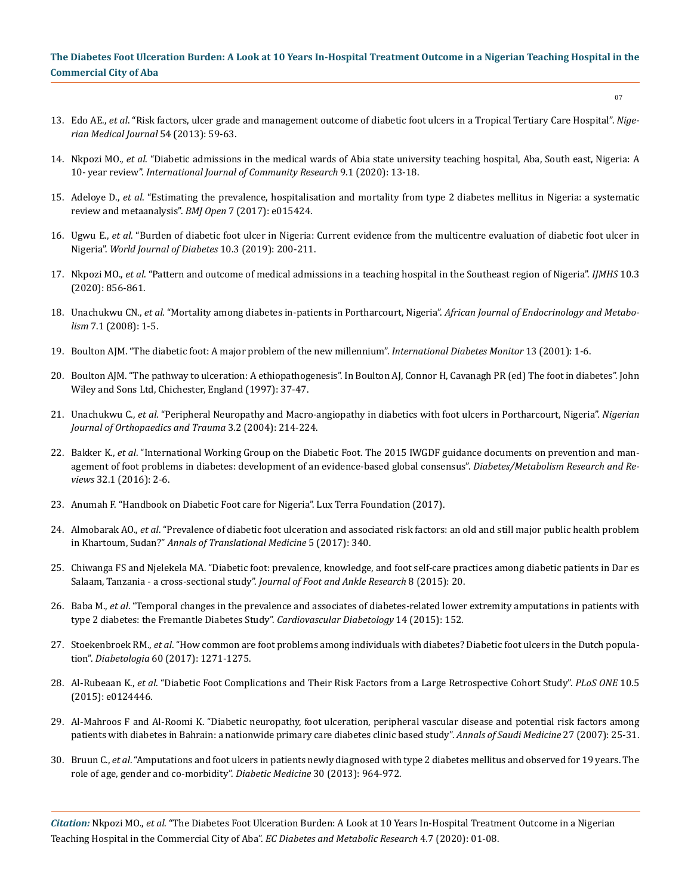- 13. Edo AE., *et al*[. "Risk factors, ulcer grade and management outcome of diabetic foot ulcers in a Tropical Tertiary Care Hospital".](https://pubmed.ncbi.nlm.nih.gov/23661901/) *Nige[rian Medical Journal](https://pubmed.ncbi.nlm.nih.gov/23661901/)* 54 (2013): 59-63.
- 14. Nkpozi MO., *et al*. "Diabetic admissions in the medical wards of Abia state university teaching hospital, Aba, South east, Nigeria: A 10- year review". *International Journal of Community Research* 9.1 (2020): 13-18.
- 15. Adeloye D., *et al*[. "Estimating the prevalence, hospitalisation and mortality from type 2 diabetes mellitus in Nigeria: a systematic](https://bmjopen.bmj.com/content/7/5/e015424)  [review and metaanalysis".](https://bmjopen.bmj.com/content/7/5/e015424) *BMJ Open* 7 (2017): e015424.
- 16. Ugwu E., *et al*[. "Burden of diabetic foot ulcer in Nigeria: Current evidence from the multicentre evaluation of diabetic foot ulcer in](https://www.researchgate.net/publication/333224624_Burden_of_diabetic_foot_ulcer_in_Nigeria_Current_evidence_from_the_multicenter_evaluation_of_diabetic_foot_ulcer_in_Nigeria)  Nigeria". *[World Journal of Diabetes](https://www.researchgate.net/publication/333224624_Burden_of_diabetic_foot_ulcer_in_Nigeria_Current_evidence_from_the_multicenter_evaluation_of_diabetic_foot_ulcer_in_Nigeria)* 10.3 (2019): 200-211.
- 17. Nkpozi MO., *et al*[. "Pattern and outcome of medical admissions in a teaching hospital in the Southeast region of Nigeria".](http://www.atmph.org/article.asp?issn=1755-6783;year=2014;volume=7;issue=3;spage=171;epage=176;aulast=Osarenkhoe) *IJMHS* 10.3 [\(2020\): 856-861.](http://www.atmph.org/article.asp?issn=1755-6783;year=2014;volume=7;issue=3;spage=171;epage=176;aulast=Osarenkhoe)
- 18. Unachukwu CN., *et al*[. "Mortality among diabetes in-patients in Portharcourt, Nigeria".](https://www.ajol.info/index.php/ajem/article/view/57567) *African Journal of Endocrinology and Metabolism* [7.1 \(2008\): 1-5.](https://www.ajol.info/index.php/ajem/article/view/57567)
- 19. [Boulton AJM. "The diabetic foot: A major problem of the new millennium".](https://pubmed.ncbi.nlm.nih.gov/15973810/) *International Diabetes Monitor* 13 (2001): 1-6.
- 20. Boulton AJM. "The pathway to ulceration: A ethiopathogenesis". In Boulton AJ, Connor H, Cavanagh PR (ed) The foot in diabetes". John Wiley and Sons Ltd, Chichester, England (1997): 37-47.
- 21. Unachukwu C., *et al*[. "Peripheral Neuropathy and Macro-angiopathy in diabetics with foot ulcers in Portharcourt, Nigeria".](https://www.ajol.info/index.php/njotra/article/view/29242) *Nigerian [Journal of Orthopaedics and Trauma](https://www.ajol.info/index.php/njotra/article/view/29242)* 3.2 (2004): 214-224.
- 22. Bakker K., *et al*[. "International Working Group on the Diabetic Foot. The 2015 IWGDF guidance documents on prevention and man](https://pubmed.ncbi.nlm.nih.gov/26409930/)[agement of foot problems in diabetes: development of an evidence-based global consensus".](https://pubmed.ncbi.nlm.nih.gov/26409930/) *Diabetes/Metabolism Research and Reviews* [32.1 \(2016\): 2-6.](https://pubmed.ncbi.nlm.nih.gov/26409930/)
- 23. Anumah F. "Handbook on Diabetic Foot care for Nigeria". Lux Terra Foundation (2017).
- 24. Almobarak AO., *et al*[. "Prevalence of diabetic foot ulceration and associated risk factors: an old and still major public health problem](https://www.ncbi.nlm.nih.gov/pmc/articles/PMC5599292/)  in Khartoum, Sudan?" *[Annals of Translational Medicine](https://www.ncbi.nlm.nih.gov/pmc/articles/PMC5599292/)* 5 (2017): 340.
- 25. [Chiwanga FS and Njelekela MA. "Diabetic foot: prevalence, knowledge, and foot self-care practices among diabetic patients in Dar es](https://www.ncbi.nlm.nih.gov/pmc/articles/PMC4462176/)  [Salaam, Tanzania - a cross-sectional study".](https://www.ncbi.nlm.nih.gov/pmc/articles/PMC4462176/) *Journal of Foot and Ankle Research* 8 (2015): 20.
- 26. Baba M., *et al*[. "Temporal changes in the prevalence and associates of diabetes-related lower extremity amputations in patients with](https://www.ncbi.nlm.nih.gov/pmc/articles/PMC4683723/)  [type 2 diabetes: the Fremantle Diabetes Study".](https://www.ncbi.nlm.nih.gov/pmc/articles/PMC4683723/) *Cardiovascular Diabetology* 14 (2015): 152.
- 27. Stoekenbroek RM., *et al*[. "How common are foot problems among individuals with diabetes? Diabetic foot ulcers in the Dutch popula](https://pubmed.ncbi.nlm.nih.gov/28409210/)tion". *Diabetologia* [60 \(2017\): 1271-1275.](https://pubmed.ncbi.nlm.nih.gov/28409210/)
- 28. Al-Rubeaan K., *et al*[. "Diabetic Foot Complications and Their Risk Factors from a Large Retrospective Cohort Study".](https://www.ncbi.nlm.nih.gov/pmc/articles/PMC4422657/) *PLoS ONE* 10.5 [\(2015\): e0124446.](https://www.ncbi.nlm.nih.gov/pmc/articles/PMC4422657/)
- 29. [Al-Mahroos F and Al-Roomi K. "Diabetic neuropathy, foot ulceration, peripheral vascular disease and potential risk factors among](https://pubmed.ncbi.nlm.nih.gov/17277500/)  [patients with diabetes in Bahrain: a nationwide primary care diabetes clinic based study".](https://pubmed.ncbi.nlm.nih.gov/17277500/) *Annals of Saudi Medicine* 27 (2007): 25-31.
- 30. Bruun C., *et al*[. "Amputations and foot ulcers in patients newly diagnosed with type 2 diabetes mellitus and observed for 19 years. The](https://pubmed.ncbi.nlm.nih.gov/23617411/)  [role of age, gender and co-morbidity".](https://pubmed.ncbi.nlm.nih.gov/23617411/) *Diabetic Medicine* 30 (2013): 964-972.